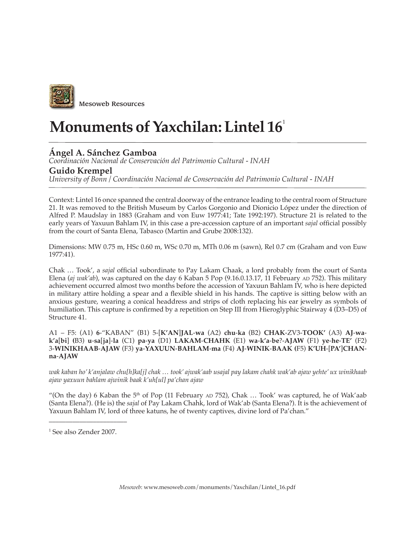

## **Monuments of Yaxchilan: Lintel 16**<sup>1</sup>

## **Ángel A. Sánchez Gamboa**

*Coordinación Nacional de Conservación del Patrimonio Cultural - INAH*

## **Guido Krempel**

*University of Bonn / Coordinación Nacional de Conservación del Patrimonio Cultural - INAH*

Context: Lintel 16 once spanned the central doorway of the entrance leading to the central room of Structure 21. It was removed to the British Museum by Carlos Gorgonio and Dionicio López under the direction of Alfred P. Maudslay in 1883 (Graham and von Euw 1977:41; Tate 1992:197). Structure 21 is related to the early years of Yaxuun Bahlam IV, in this case a pre-accession capture of an important *sajal* official possibly from the court of Santa Elena, Tabasco (Martin and Grube 2008:132).

Dimensions: MW 0.75 m, HSc 0.60 m, WSc 0.70 m, MTh 0.06 m (sawn), Rel 0.7 cm (Graham and von Euw 1977:41).

Chak … Took', a *sajal* official subordinate to Pay Lakam Chaak, a lord probably from the court of Santa Elena (*aj wak'ab*), was captured on the day 6 Kaban 5 Pop (9.16.0.13.17, 11 February AD 752). This military achievement occurred almost two months before the accession of Yaxuun Bahlam IV, who is here depicted in military attire holding a spear and a flexible shield in his hands. The captive is sitting below with an anxious gesture, wearing a conical headdress and strips of cloth replacing his ear jewelry as symbols of humiliation. This capture is confirmed by a repetition on Step III from Hieroglyphic Stairway 4 (D3–D5) of Structure 41.

A1 – F5: (A1) **6**-"KABAN" (B1) 5-[**K'AN**]**JAL**-**wa** (A2) **chu**-**ka** (B2) **CHAK**-ZV3-**TOOK'** (A3) **AJ**-**wak'a**[**bi**] **(**B3) **u**-**sa**[**ja**]-**la** (C1) **pa**-**ya** (D1) **LAKAM**-**CHAHK** (E1) **wa**-**k'a**-**be**?-**AJAW** (F1) **ye**-**he**-**TE'** (F2) 3-**WINIKHAAB**-**AJAW** (F3) **ya**-**YAXUUN**-**BAHLAM**-**ma** (F4) **AJ**-**WINIK**-**BAAK (**F5) **K'UH**-[**PA'**]**CHANna**-**AJAW**

*wak kaban ho' k'anjalaw chu[h]ka[j] chak … took' ajwak'aab usajal pay lakam chahk wak'ab ajaw yehte' ux winikhaab ajaw yaxuun bahlam ajwinik baak k'uh[ul] pa'chan ajaw*

"(On the day) 6 Kaban the 5<sup>th</sup> of Pop (11 February AD 752), Chak ... Took' was captured, he of Wak'aab (Santa Elena?). (He is) the *sajal* of Pay Lakam Chahk, lord of Wak'ab (Santa Elena?). It is the achievement of Yaxuun Bahlam IV, lord of three katuns, he of twenty captives, divine lord of Pa'chan."

 $\overline{\phantom{a}}$  , where  $\overline{\phantom{a}}$  , where  $\overline{\phantom{a}}$ 

<sup>1</sup> See also Zender 2007.